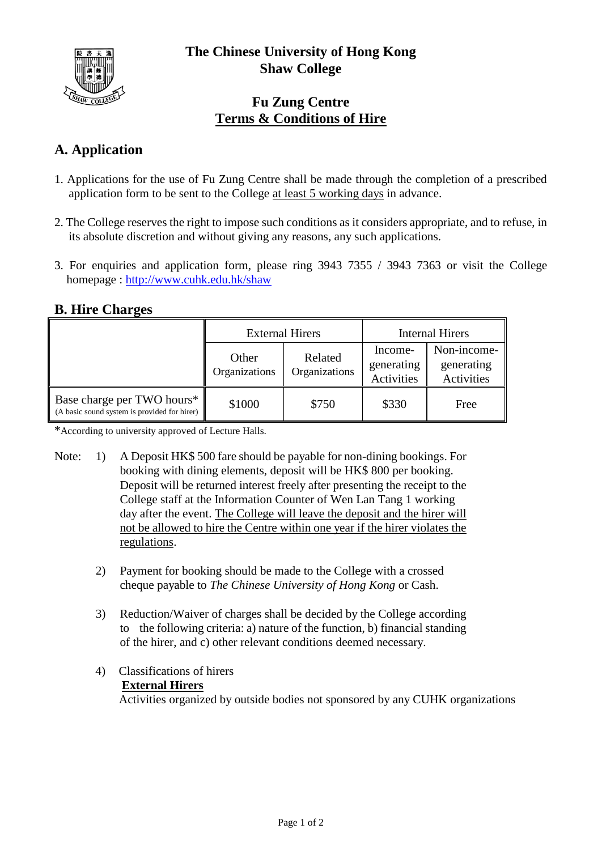

## **Fu Zung Centre Terms & Conditions of Hire**

# **A. Application**

- 1. Applications for the use of Fu Zung Centre shall be made through the completion of a prescribed application form to be sent to the College at least 5 working days in advance.
- 2. The College reserves the right to impose such conditions as it considers appropriate, and to refuse, in its absolute discretion and without giving any reasons, any such applications.
- 3. For enquiries and application form, please ring 3943 7355 / 3943 7363 or visit the College homepage :<http://www.cuhk.edu.hk/shaw>

## **B. Hire Charges**

|                                                                            | <b>External Hirers</b> |                          | Internal Hirers                     |                                                |
|----------------------------------------------------------------------------|------------------------|--------------------------|-------------------------------------|------------------------------------------------|
|                                                                            | Other<br>Organizations | Related<br>Organizations | Income-<br>generating<br>Activities | Non-income-<br>generating<br><b>Activities</b> |
| Base charge per TWO hours*<br>(A basic sound system is provided for hirer) | \$1000                 | \$750                    | \$330                               | Free                                           |

\*According to university approved of Lecture Halls.

- Note: 1) A Deposit HK\$ 500 fare should be payable for non-dining bookings. For booking with dining elements, deposit will be HK\$ 800 per booking. Deposit will be returned interest freely after presenting the receipt to the College staff at the Information Counter of Wen Lan Tang 1 working day after the event. The College will leave the deposit and the hirer will not be allowed to hire the Centre within one year if the hirer violates the regulations.
	- 2) Payment for booking should be made to the College with a crossed cheque payable to *The Chinese University of Hong Kong* or Cash.
	- 3) Reduction/Waiver of charges shall be decided by the College according to the following criteria: a) nature of the function, b) financial standing of the hirer, and c) other relevant conditions deemed necessary.
	- 4) Classifications of hirers **External Hirers** Activities organized by outside bodies not sponsored by any CUHK organizations